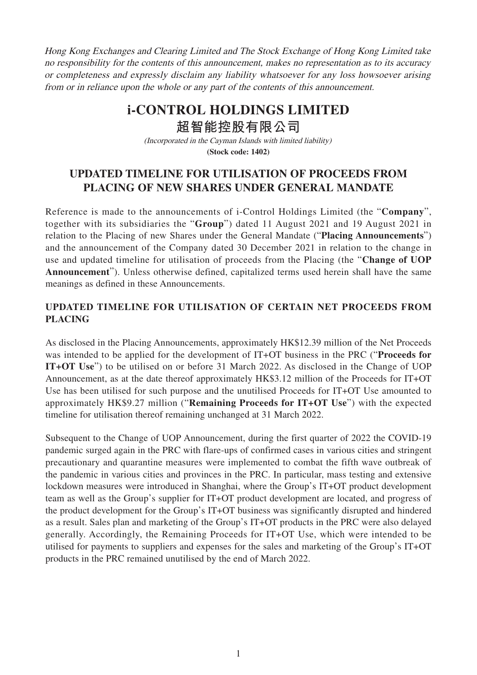Hong Kong Exchanges and Clearing Limited and The Stock Exchange of Hong Kong Limited take no responsibility for the contents of this announcement, makes no representation as to its accuracy or completeness and expressly disclaim any liability whatsoever for any loss howsoever arising from or in reliance upon the whole or any part of the contents of this announcement.

## **i-CONTROL HOLDINGS LIMITED**

**超智能控股有限公司**

(Incorporated in the Cayman Islands with limited liability) **(Stock code: 1402)**

## **UPDATED TIMELINE FOR UTILISATION OF PROCEEDS FROM PLACING OF NEW SHARES UNDER GENERAL MANDATE**

Reference is made to the announcements of i-Control Holdings Limited (the "**Company**", together with its subsidiaries the "**Group**") dated 11 August 2021 and 19 August 2021 in relation to the Placing of new Shares under the General Mandate ("**Placing Announcements**") and the announcement of the Company dated 30 December 2021 in relation to the change in use and updated timeline for utilisation of proceeds from the Placing (the "**Change of UOP Announcement**"). Unless otherwise defined, capitalized terms used herein shall have the same meanings as defined in these Announcements.

## **UPDATED TIMELINE FOR UTILISATION OF CERTAIN NET PROCEEDS FROM PLACING**

As disclosed in the Placing Announcements, approximately HK\$12.39 million of the Net Proceeds was intended to be applied for the development of IT+OT business in the PRC ("**Proceeds for IT+OT Use**") to be utilised on or before 31 March 2022. As disclosed in the Change of UOP Announcement, as at the date thereof approximately HK\$3.12 million of the Proceeds for IT+OT Use has been utilised for such purpose and the unutilised Proceeds for IT+OT Use amounted to approximately HK\$9.27 million ("**Remaining Proceeds for IT+OT Use**") with the expected timeline for utilisation thereof remaining unchanged at 31 March 2022.

Subsequent to the Change of UOP Announcement, during the first quarter of 2022 the COVID-19 pandemic surged again in the PRC with flare-ups of confirmed cases in various cities and stringent precautionary and quarantine measures were implemented to combat the fifth wave outbreak of the pandemic in various cities and provinces in the PRC. In particular, mass testing and extensive lockdown measures were introduced in Shanghai, where the Group's IT+OT product development team as well as the Group's supplier for IT+OT product development are located, and progress of the product development for the Group's IT+OT business was significantly disrupted and hindered as a result. Sales plan and marketing of the Group's IT+OT products in the PRC were also delayed generally. Accordingly, the Remaining Proceeds for IT+OT Use, which were intended to be utilised for payments to suppliers and expenses for the sales and marketing of the Group's IT+OT products in the PRC remained unutilised by the end of March 2022.